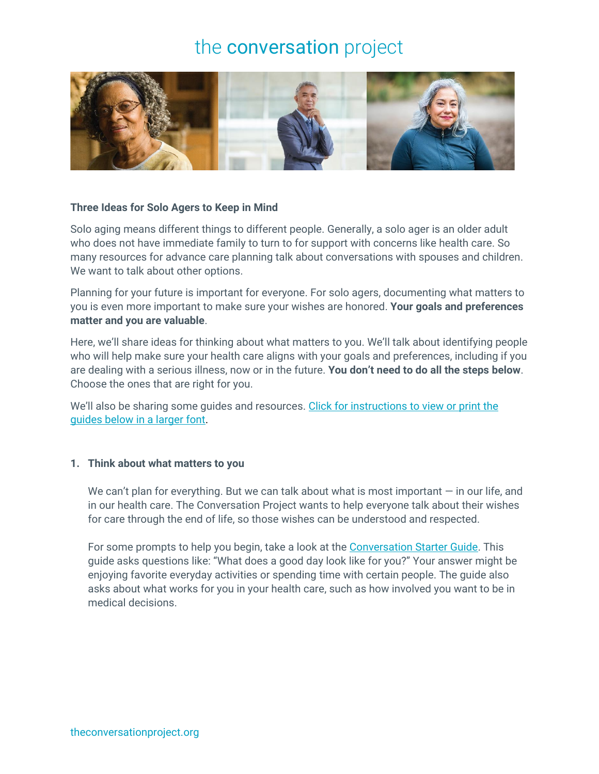

#### **Three Ideas for Solo Agers to Keep in Mind**

Solo aging means different things to different people. Generally, a solo ager is an older adult who does not have immediate family to turn to for support with concerns like health care. So many resources for advance care planning talk about conversations with spouses and children. We want to talk about other options.

Planning for your future is important for everyone. For solo agers, documenting what matters to you is even more important to make sure your wishes are honored. **Your goals and preferences matter and you are valuable**.

Here, we'll share ideas for thinking about what matters to you. We'll talk about identifying people who will help make sure your health care aligns with your goals and preferences, including if you are dealing with a serious illness, now or in the future. **You don't need to do all the steps below**. Choose the ones that are right for you.

We'll also be sharing some guides and resources. Click for instructions to view or print the [guides below in a larger font.](https://theconversationproject.org/larger-text/)

#### **1. Think about what matters to you**

We can't plan for everything. But we can talk about what is most important  $-$  in our life, and in our health care. The Conversation Project wants to help everyone talk about their wishes for care through the end of life, so those wishes can be understood and respected.

For some prompts to help you begin, take a look at the [Conversation Starter Guide.](https://theconversationproject.org/get-started#Your-Conversation-Starter-Guide) This guide asks questions like: "What does a good day look like for you?" Your answer might be enjoying favorite everyday activities or spending time with certain people. The guide also asks about what works for you in your health care, such as how involved you want to be in medical decisions.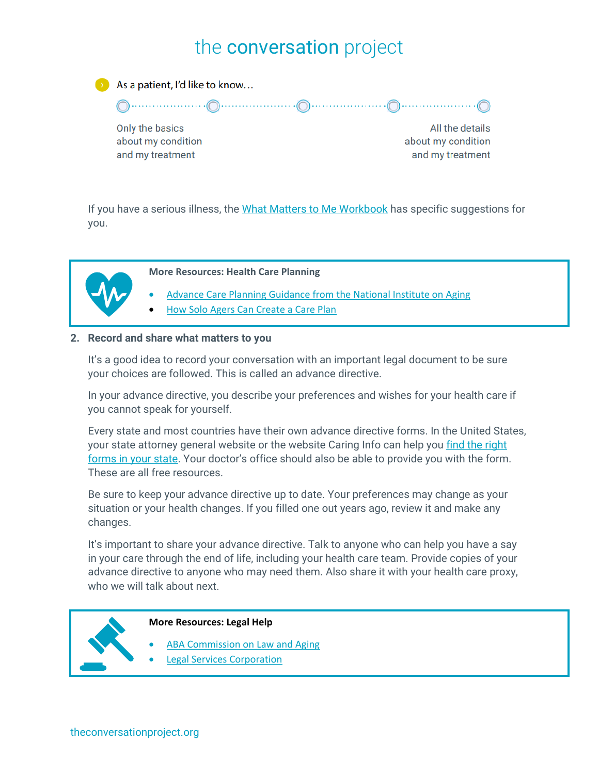

As a patient, I'd like to know...

Only the basics about my condition and my treatment

All the details about my condition and my treatment

If you have a serious illness, the [What Matters to Me Workbook](https://theconversationproject.org/get-started#What-Matters-to-Me-Workbook) has specific suggestions for you.



**More Resources: Health Care Planning**

- Advance Care Planning [Guidance from the National Institute on Aging](https://www.nia.nih.gov/health/caregiving/advance-care-planning)
- [How Solo Agers Can Create a Care Plan](https://sixtyandme.com/9-ways-solo-agers-can-create-a-care-plan-that-really-works/)

### **2. Record and share what matters to you**

It's a good idea to record your conversation with an important legal document to be sure your choices are followed. This is called an advance directive.

In your advance directive, you describe your preferences and wishes for your health care if you cannot speak for yourself.

Every state and most countries have their own advance directive forms. In the United States, your state attorney general website or the website Caring Info can help you find the right [forms in your state.](https://www.caringinfo.org/planning/advance-directives/) Your doctor's office should also be able to provide you with the form. These are all free resources.

Be sure to keep your advance directive up to date. Your preferences may change as your situation or your health changes. If you filled one out years ago, review it and make any changes.

It's important to share your advance directive. Talk to anyone who can help you have a say in your care through the end of life, including your health care team. Provide copies of your advance directive to anyone who may need them. Also share it with your health care proxy, who we will talk about next.



#### **More Resources: Legal Help**

- **[ABA Commission on Law and Aging](https://www.americanbar.org/groups/law_aging/)**
- [Legal Services Corporation](https://www.lsc.gov/about-lsc/what-legal-aid/get-legal-help)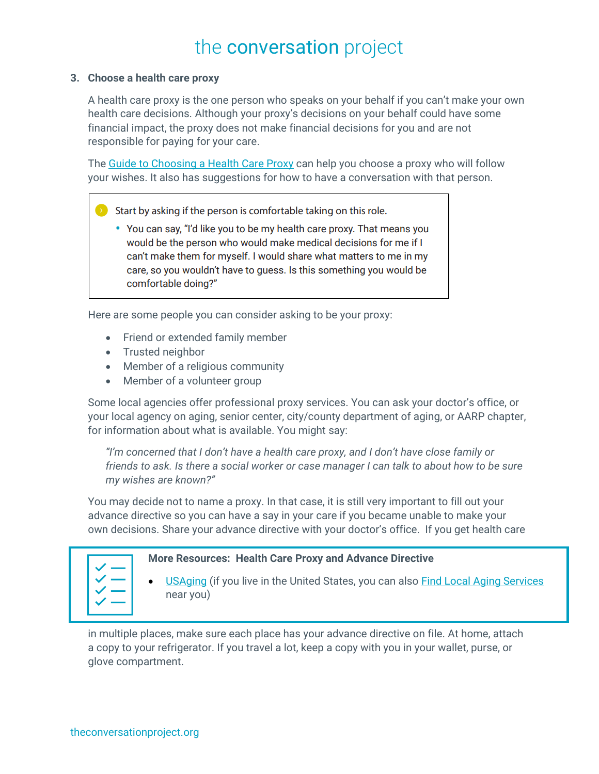### **3. Choose a health care proxy**

A health care proxy is the one person who speaks on your behalf if you can't make your own health care decisions. Although your proxy's decisions on your behalf could have some financial impact, the proxy does not make financial decisions for you and are not responsible for paying for your care.

The [Guide to Choosing a Health Care Proxy](https://theconversationproject.org/get-started#Who-Will-Speak-For-You?-How-to-choose-and-be-a-health-care-proxy) can help you choose a proxy who will follow your wishes. It also has suggestions for how to have a conversation with that person.

- Start by asking if the person is comfortable taking on this role.
	- You can say, "I'd like you to be my health care proxy. That means you would be the person who would make medical decisions for me if I can't make them for myself. I would share what matters to me in my care, so you wouldn't have to quess. Is this something you would be comfortable doing?"

Here are some people you can consider asking to be your proxy:

- Friend or extended family member
- Trusted neighbor
- Member of a religious community
- Member of a volunteer group

Some local agencies offer professional proxy services. You can ask your doctor's office, or your local agency on aging, senior center, city/county department of aging, or AARP chapter, for information about what is available. You might say:

*"I'm concerned that I don't have a health care proxy, and I don't have close family or friends to ask. Is there a social worker or case manager I can talk to about how to be sure my wishes are known?"*

You may decide not to name a proxy. In that case, it is still very important to fill out your advance directive so you can have a say in your care if you became unable to make your own decisions. Share your advance directive with your doctor's office. If you get health care

|--|

### **More Resources: Health Care Proxy and Advance Directive**

• [USAging](https://www.usaging.org/) (if you live in the United States, you can also [Find Local Aging Services](https://eldercare.acl.gov/Public/Index.aspx) near you)

in multiple places, make sure each place has your advance directive on file. At home, attach a copy to your refrigerator. If you travel a lot, keep a copy with you in your wallet, purse, or glove compartment.